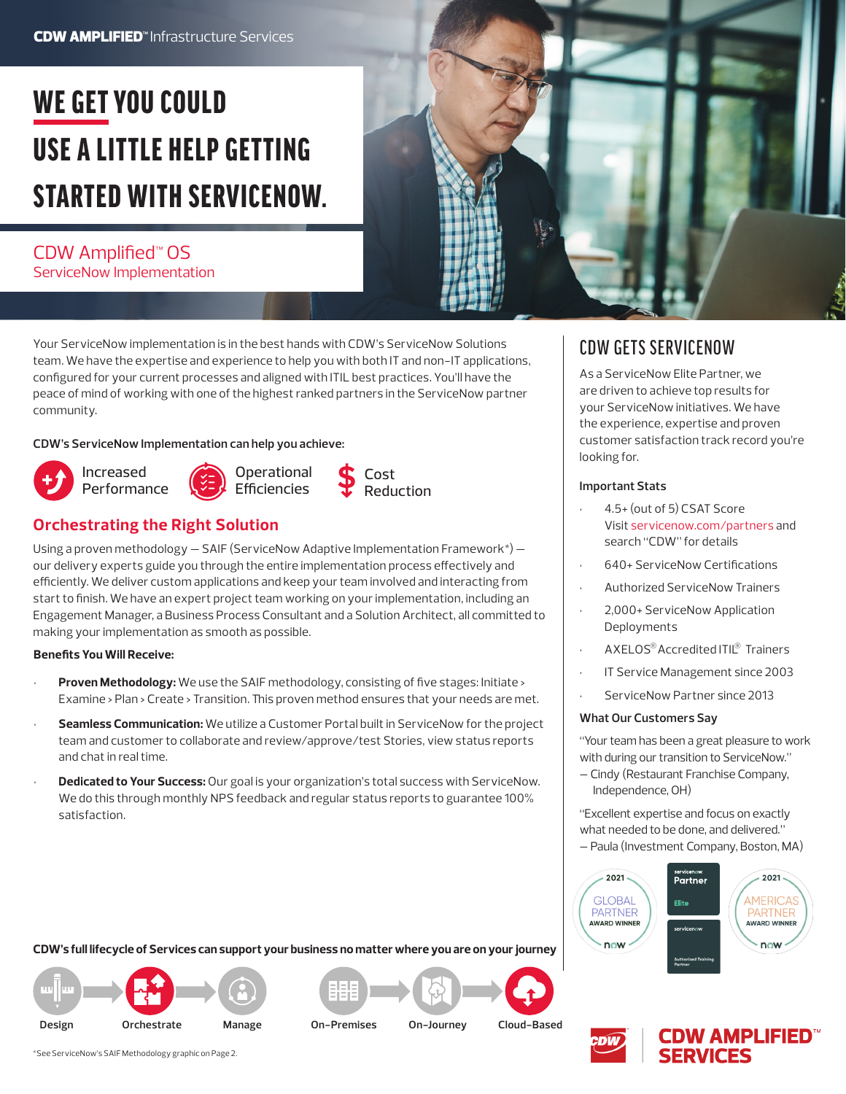## **CDW AMPLIFIED**<sup>"</sup> Infrastructure Services

# WE GET YOU COULD USE A LITTLE HELP GETTING STARTED WITH SERVICENOW.

# CDW Amplified™ OS ServiceNow Implementation

Your ServiceNow implementation is in the best hands with CDW's ServiceNow Solutions team. We have the expertise and experience to help you with both IT and non-IT applications, configured for your current processes and aligned with ITIL best practices. You'll have the peace of mind of working with one of the highest ranked partners in the ServiceNow partner community.

### **CDW's ServiceNow Implementation can help you achieve:**









# **Orchestrating the Right Solution**

Using a proven methodology  $-$  SAIF (ServiceNow Adaptive Implementation Framework\*)  $$ our delivery experts guide you through the entire implementation process effectively and efficiently. We deliver custom applications and keep your team involved and interacting from start to finish. We have an expert project team working on your implementation, including an Engagement Manager, a Business Process Consultant and a Solution Architect, all committed to making your implementation as smooth as possible.

### **Benefits You Will Receive:**

- **Proven Methodology:** We use the SAIF methodology, consisting of five stages: Initiate > Examine > Plan > Create > Transition. This proven method ensures that your needs are met.
- **Seamless Communication:** We utilize a Customer Portal built in ServiceNow for the project team and customer to collaborate and review/approve/test Stories, view status reports and chat in real time.
- **Dedicated to Your Success:** Our goal is your organization's total success with ServiceNow. We do this through monthly NPS feedback and regular status reports to guarantee 100% satisfaction.

### **CDW's full lifecycle of Services can support your business no matter where you are on your journey**







# CDW GETS SERVICENOW

As a ServiceNow Elite Partner, we are driven to achieve top results for your ServiceNow initiatives. We have the experience, expertise and proven customer satisfaction track record you're looking for.

### **Important Stats**

- 4.5+ (out of 5) CSAT Score Visit [servicenow.com/partners](https://www.servicenow.com/partners/partner-finder.html) and search "CDW" for details
- 640+ ServiceNow Certifications
- Authorized ServiceNow Trainers
- 2,000+ ServiceNow Application Deployments
- $\cdot$  AXELOS® Accredited ITIL® Trainers
- IT Service Management since 2003
- ServiceNow Partner since 2013

### **What Our Customers Say**

"Your team has been a great pleasure to work with during our transition to ServiceNow."

– Cindy (Restaurant Franchise Company, Independence, OH)

"Excellent expertise and focus on exactly what needed to be done, and delivered." – Paula (Investment Company, Boston, MA)







\*See ServiceNow's SAIF Methodology graphic on Page 2.